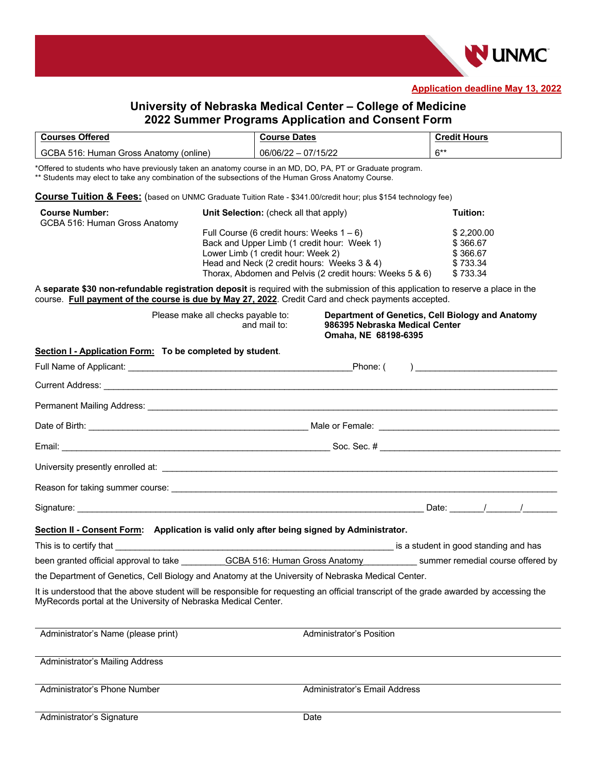

**Application deadline May 13, 2022**

## **University of Nebraska Medical Center – College of Medicine 2022 Summer Programs Application and Consent Form**

| <b>Courses Offered</b>                 | <b>Course Dates</b> | <b>Credit Hours</b> |
|----------------------------------------|---------------------|---------------------|
| GCBA 516: Human Gross Anatomy (online) | 06/06/22 - 07/15/22 | $6***$              |

\*Offered to students who have previously taken an anatomy course in an MD, DO, PA, PT or Graduate program. \*\* Students may elect to take any combination of the subsections of the Human Gross Anatomy Course.

**Course Tuition & Fees:** (based on UNMC Graduate Tuition Rate - \$341.00/credit hour; plus \$154 technology fee)

| <b>Course Number:</b><br>GCBA 516: Human Gross Anatomy | Unit Selection: (check all that apply)                   | Tuition:   |
|--------------------------------------------------------|----------------------------------------------------------|------------|
|                                                        | Full Course (6 credit hours: Weeks $1-6$ )               | \$2,200,00 |
|                                                        | Back and Upper Limb (1 credit hour: Week 1)              | \$366.67   |
|                                                        | Lower Limb (1 credit hour: Week 2)                       | \$366.67   |
|                                                        | Head and Neck (2 credit hours: Weeks 3 & 4)              | \$733.34   |
|                                                        | Thorax, Abdomen and Pelvis (2 credit hours: Weeks 5 & 6) | \$733.34   |

A **separate \$30 non-refundable registration deposit** is required with the submission of this application to reserve a place in the course. **Full payment of the course is due by May 27, 2022**. Credit Card and check payments accepted.

|                                                                                                                                                                                                                                      | Please make all checks payable to:<br>and mail to: | 986395 Nebraska Medical Center<br>Omaha, NE 68198-6395 | Department of Genetics, Cell Biology and Anatomy               |
|--------------------------------------------------------------------------------------------------------------------------------------------------------------------------------------------------------------------------------------|----------------------------------------------------|--------------------------------------------------------|----------------------------------------------------------------|
| Section I - Application Form: To be completed by student.                                                                                                                                                                            |                                                    |                                                        |                                                                |
|                                                                                                                                                                                                                                      |                                                    | Phone: (                                               | ) and the contract of the contract of $\overline{\phantom{a}}$ |
|                                                                                                                                                                                                                                      |                                                    |                                                        |                                                                |
|                                                                                                                                                                                                                                      |                                                    |                                                        |                                                                |
|                                                                                                                                                                                                                                      |                                                    |                                                        |                                                                |
|                                                                                                                                                                                                                                      |                                                    |                                                        |                                                                |
|                                                                                                                                                                                                                                      |                                                    |                                                        |                                                                |
|                                                                                                                                                                                                                                      |                                                    |                                                        |                                                                |
|                                                                                                                                                                                                                                      |                                                    |                                                        |                                                                |
| Section II - Consent Form: Application is valid only after being signed by Administrator.                                                                                                                                            |                                                    |                                                        |                                                                |
| This is to certify that <b>the control of the control of the control of the control of the control of the control of the control of the control of the control of the control of the control of the control of the control of th</b> |                                                    |                                                        |                                                                |
| been granted official approval to take GCBA 516: Human Gross Anatomy summer remedial course offered by                                                                                                                               |                                                    |                                                        |                                                                |
| the Department of Genetics, Cell Biology and Anatomy at the University of Nebraska Medical Center.                                                                                                                                   |                                                    |                                                        |                                                                |
| It is understood that the above student will be responsible for requesting an official transcript of the grade awarded by accessing the<br>MyRecords portal at the University of Nebraska Medical Center.                            |                                                    |                                                        |                                                                |
| Administrator's Name (please print)                                                                                                                                                                                                  |                                                    | Administrator's Position                               |                                                                |
| Administrator's Mailing Address                                                                                                                                                                                                      |                                                    |                                                        |                                                                |
| Administrator's Phone Number                                                                                                                                                                                                         |                                                    | Administrator's Email Address                          |                                                                |
| Administrator's Signature                                                                                                                                                                                                            |                                                    | Date                                                   |                                                                |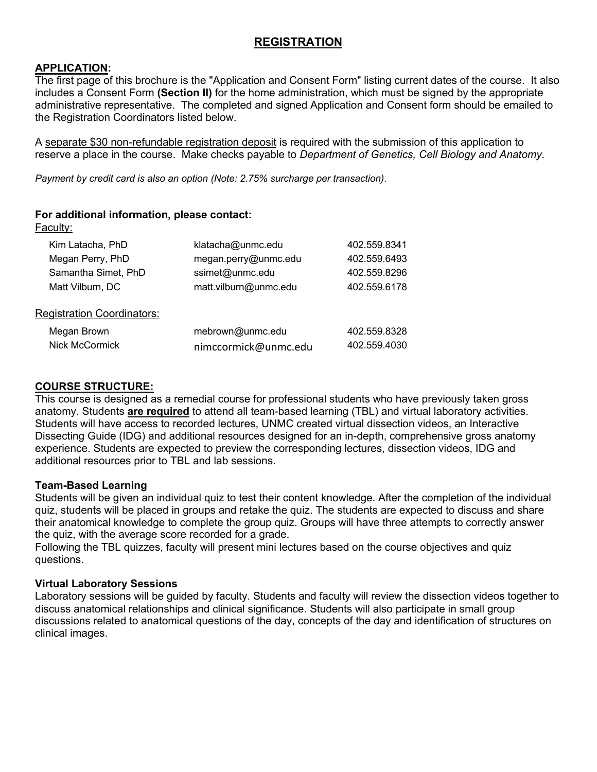## **REGISTRATION**

## **APPLICATION:**

The first page of this brochure is the "Application and Consent Form" listing current dates of the course. It also includes a Consent Form **(Section II)** for the home administration, which must be signed by the appropriate administrative representative. The completed and signed Application and Consent form should be emailed to the Registration Coordinators listed below.

A separate \$30 non-refundable registration deposit is required with the submission of this application to reserve a place in the course. Make checks payable to *Department of Genetics, Cell Biology and Anatomy*.

*Payment by credit card is also an option (Note: 2.75% surcharge per transaction)*.

**For additional information, please contact:**

| Faculty:                          |                       |              |
|-----------------------------------|-----------------------|--------------|
| Kim Latacha, PhD                  | klatacha@unmc.edu     | 402.559.8341 |
| Megan Perry, PhD                  | megan.perry@unmc.edu  | 402.559.6493 |
| Samantha Simet, PhD               | ssimet@unmc.edu       | 402.559.8296 |
| Matt Vilburn, DC                  | matt.vilburn@unmc.edu | 402.559.6178 |
| <b>Registration Coordinators:</b> |                       |              |
| Megan Brown                       | mebrown@unmc.edu      | 402.559.8328 |
| <b>Nick McCormick</b>             | nimccormick@unmc.edu  | 402.559.4030 |
|                                   |                       |              |

## **COURSE STRUCTURE:**

This course is designed as a remedial course for professional students who have previously taken gross anatomy. Students **are required** to attend all team-based learning (TBL) and virtual laboratory activities. Students will have access to recorded lectures, UNMC created virtual dissection videos, an Interactive Dissecting Guide (IDG) and additional resources designed for an in-depth, comprehensive gross anatomy experience. Students are expected to preview the corresponding lectures, dissection videos, IDG and additional resources prior to TBL and lab sessions.

### **Team-Based Learning**

Students will be given an individual quiz to test their content knowledge. After the completion of the individual quiz, students will be placed in groups and retake the quiz. The students are expected to discuss and share their anatomical knowledge to complete the group quiz. Groups will have three attempts to correctly answer the quiz, with the average score recorded for a grade.

Following the TBL quizzes, faculty will present mini lectures based on the course objectives and quiz questions.

### **Virtual Laboratory Sessions**

Laboratory sessions will be guided by faculty. Students and faculty will review the dissection videos together to discuss anatomical relationships and clinical significance. Students will also participate in small group discussions related to anatomical questions of the day, concepts of the day and identification of structures on clinical images.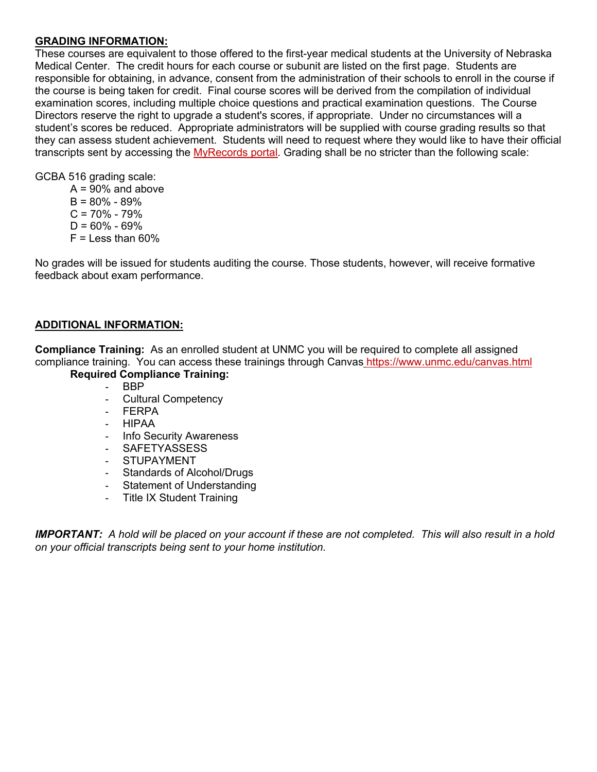### **GRADING INFORMATION:**

These courses are equivalent to those offered to the first-year medical students at the University of Nebraska Medical Center. The credit hours for each course or subunit are listed on the first page. Students are responsible for obtaining, in advance, consent from the administration of their schools to enroll in the course if the course is being taken for credit. Final course scores will be derived from the compilation of individual examination scores, including multiple choice questions and practical examination questions. The Course Directors reserve the right to upgrade a student's scores, if appropriate. Under no circumstances will a student's scores be reduced. Appropriate administrators will be supplied with course grading results so that they can assess student achievement. Students will need to request where they would like to have their official transcripts sent by accessing the MyRecords portal. Grading shall be no stricter than the following scale:

GCBA 516 grading scale:

 $A = 90\%$  and above  $B = 80\% - 89\%$  $C = 70\% - 79\%$  $D = 60\% - 69\%$  $F =$  Less than 60%

No grades will be issued for students auditing the course. Those students, however, will receive formative feedback about exam performance.

## **ADDITIONAL INFORMATION:**

**Compliance Training:** As an enrolled student at UNMC you will be required to complete all assigned compliance training. You can access these trainings through Canvas https://www.unmc.edu/canvas.html

### **Required Compliance Training:**

- BBP
- Cultural Competency
- FERPA
- HIPAA
- Info Security Awareness
- SAFETYASSESS
- STUPAYMENT
- Standards of Alcohol/Drugs
- Statement of Understanding
- Title IX Student Training

*IMPORTANT: A hold will be placed on your account if these are not completed. This will also result in a hold on your official transcripts being sent to your home institution.*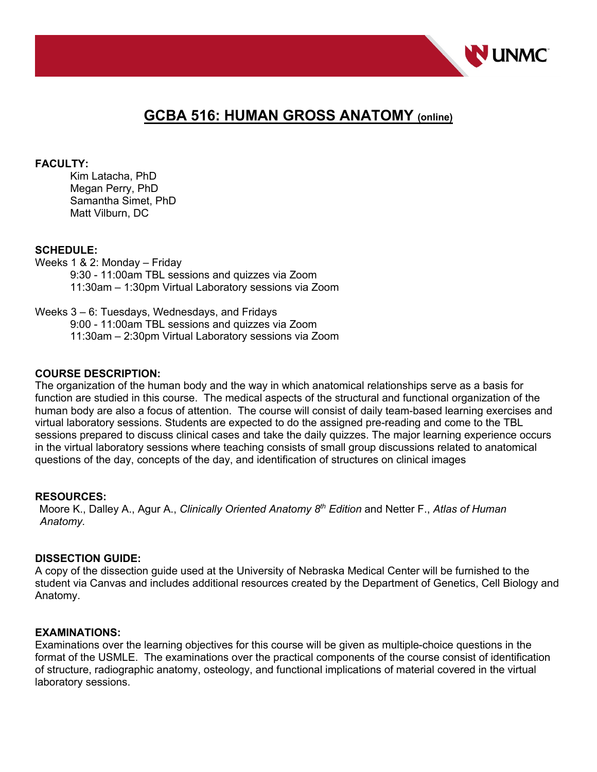

# **GCBA 516: HUMAN GROSS ANATOMY (online)**

### **FACULTY:**

Kim Latacha, PhD Megan Perry, PhD Samantha Simet, PhD Matt Vilburn, DC

### **SCHEDULE:**

Weeks 1 & 2: Monday – Friday 9:30 - 11:00am TBL sessions and quizzes via Zoom 11:30am – 1:30pm Virtual Laboratory sessions via Zoom

### Weeks 3 – 6: Tuesdays, Wednesdays, and Fridays

9:00 - 11:00am TBL sessions and quizzes via Zoom 11:30am – 2:30pm Virtual Laboratory sessions via Zoom

### **COURSE DESCRIPTION:**

The organization of the human body and the way in which anatomical relationships serve as a basis for function are studied in this course. The medical aspects of the structural and functional organization of the human body are also a focus of attention. The course will consist of daily team-based learning exercises and virtual laboratory sessions. Students are expected to do the assigned pre-reading and come to the TBL sessions prepared to discuss clinical cases and take the daily quizzes. The major learning experience occurs in the virtual laboratory sessions where teaching consists of small group discussions related to anatomical questions of the day, concepts of the day, and identification of structures on clinical images

### **RESOURCES:**

Moore K., Dalley A., Agur A., *Clinically Oriented Anatomy 8th Edition* and Netter F., *Atlas of Human Anatomy.*

### **DISSECTION GUIDE:**

A copy of the dissection guide used at the University of Nebraska Medical Center will be furnished to the student via Canvas and includes additional resources created by the Department of Genetics, Cell Biology and Anatomy.

### **EXAMINATIONS:**

Examinations over the learning objectives for this course will be given as multiple-choice questions in the format of the USMLE. The examinations over the practical components of the course consist of identification of structure, radiographic anatomy, osteology, and functional implications of material covered in the virtual laboratory sessions.